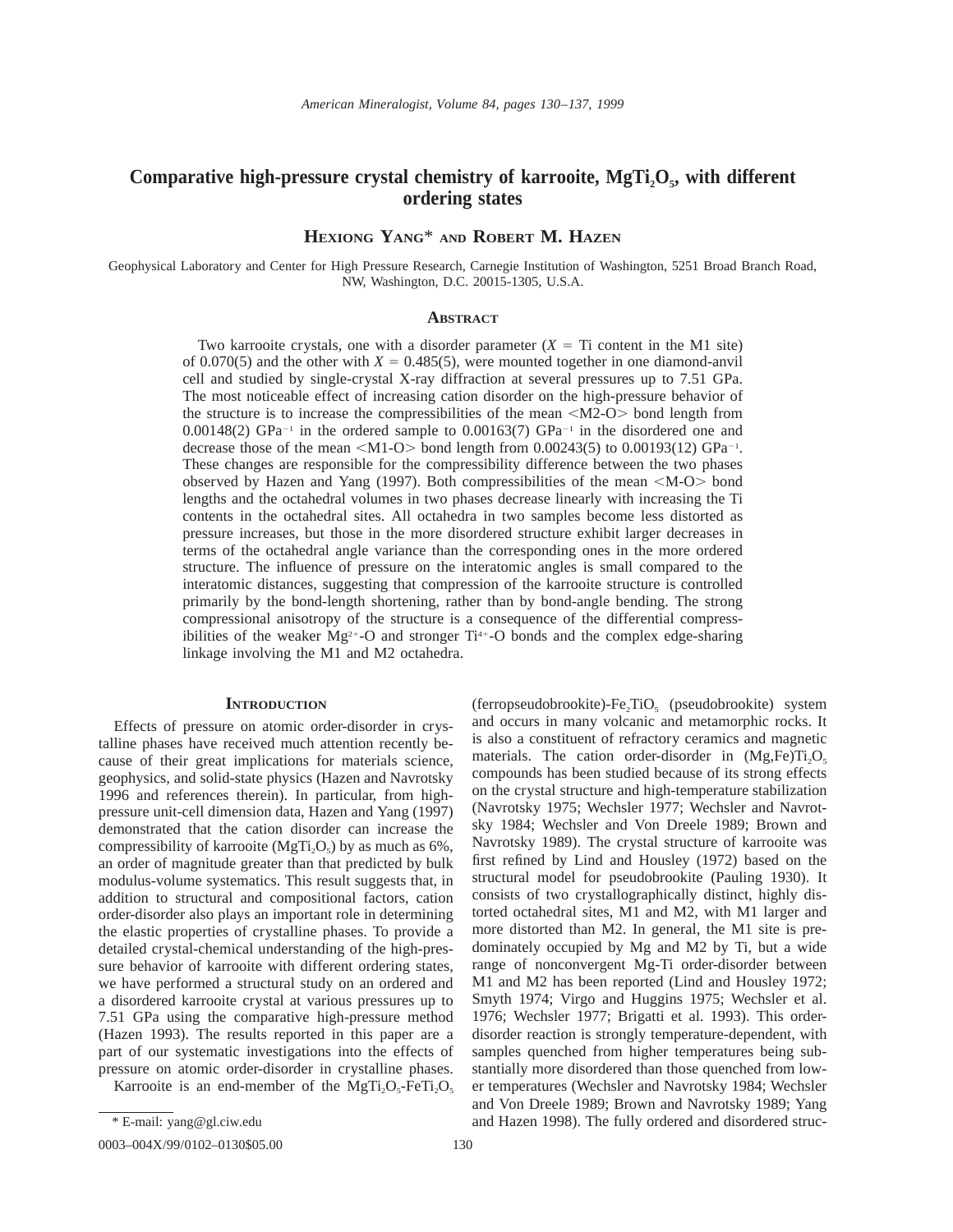# Comparative high-pressure crystal chemistry of karrooite, MgTi<sub>2</sub>O<sub>5</sub>, with different **ordering states**

**HEXIONG YANG**\* **AND ROBERT M. HAZEN**

Geophysical Laboratory and Center for High Pressure Research, Carnegie Institution of Washington, 5251 Broad Branch Road, NW, Washington, D.C. 20015-1305, U.S.A.

## **ABSTRACT**

Two karrooite crystals, one with a disorder parameter  $(X = Ti)$  content in the M1 site) of 0.070(5) and the other with  $X = 0.485(5)$ , were mounted together in one diamond-anvil cell and studied by single-crystal X-ray diffraction at several pressures up to 7.51 GPa. The most noticeable effect of increasing cation disorder on the high-pressure behavior of the structure is to increase the compressibilities of the mean  $|M2-O\rangle$  bond length from 0.00148(2)  $GPa^{-1}$  in the ordered sample to 0.00163(7)  $GPa^{-1}$  in the disordered one and decrease those of the mean  $|M1-O\rangle$  bond length from 0.00243(5) to 0.00193(12) GPa<sup>-1</sup>. These changes are responsible for the compressibility difference between the two phases observed by Hazen and Yang (1997). Both compressibilities of the mean  $|M-O\rangle$  bond lengths and the octahedral volumes in two phases decrease linearly with increasing the Ti contents in the octahedral sites. All octahedra in two samples become less distorted as pressure increases, but those in the more disordered structure exhibit larger decreases in terms of the octahedral angle variance than the corresponding ones in the more ordered structure. The influence of pressure on the interatomic angles is small compared to the interatomic distances, suggesting that compression of the karrooite structure is controlled primarily by the bond-length shortening, rather than by bond-angle bending. The strong compressional anisotropy of the structure is a consequence of the differential compressibilities of the weaker  $Mg^{2+}-O$  and stronger  $Ti^{4+}-O$  bonds and the complex edge-sharing linkage involving the M1 and M2 octahedra.

# **INTRODUCTION**

Effects of pressure on atomic order-disorder in crystalline phases have received much attention recently because of their great implications for materials science, geophysics, and solid-state physics (Hazen and Navrotsky 1996 and references therein). In particular, from highpressure unit-cell dimension data, Hazen and Yang (1997) demonstrated that the cation disorder can increase the compressibility of karrooite  $(MgTi, O<sub>5</sub>)$  by as much as 6%, an order of magnitude greater than that predicted by bulk modulus-volume systematics. This result suggests that, in addition to structural and compositional factors, cation order-disorder also plays an important role in determining the elastic properties of crystalline phases. To provide a detailed crystal-chemical understanding of the high-pressure behavior of karrooite with different ordering states, we have performed a structural study on an ordered and a disordered karrooite crystal at various pressures up to 7.51 GPa using the comparative high-pressure method (Hazen 1993). The results reported in this paper are a part of our systematic investigations into the effects of pressure on atomic order-disorder in crystalline phases.

Karrooite is an end-member of the MgTi<sub>2</sub>O<sub>5</sub>-FeTi<sub>2</sub>O<sub>5</sub>

0003-004X/99/0102-0130\$05.00 130

(ferropseudobrookite)-Fe<sub>2</sub>TiO<sub>5</sub> (pseudobrookite) system and occurs in many volcanic and metamorphic rocks. It is also a constituent of refractory ceramics and magnetic materials. The cation order-disorder in  $(Mg,Fe)Ti<sub>2</sub>O<sub>s</sub>$ compounds has been studied because of its strong effects on the crystal structure and high-temperature stabilization (Navrotsky 1975; Wechsler 1977; Wechsler and Navrotsky 1984; Wechsler and Von Dreele 1989; Brown and Navrotsky 1989). The crystal structure of karrooite was first refined by Lind and Housley (1972) based on the structural model for pseudobrookite (Pauling 1930). It consists of two crystallographically distinct, highly distorted octahedral sites, M1 and M2, with M1 larger and more distorted than M2. In general, the M1 site is predominately occupied by Mg and M2 by Ti, but a wide range of nonconvergent Mg-Ti order-disorder between M1 and M2 has been reported (Lind and Housley 1972; Smyth 1974; Virgo and Huggins 1975; Wechsler et al. 1976; Wechsler 1977; Brigatti et al. 1993). This orderdisorder reaction is strongly temperature-dependent, with samples quenched from higher temperatures being substantially more disordered than those quenched from lower temperatures (Wechsler and Navrotsky 1984; Wechsler and Von Dreele 1989; Brown and Navrotsky 1989; Yang and Hazen 1998). The fully ordered and disordered struc-

<sup>\*</sup> E-mail: yang@gl.ciw.edu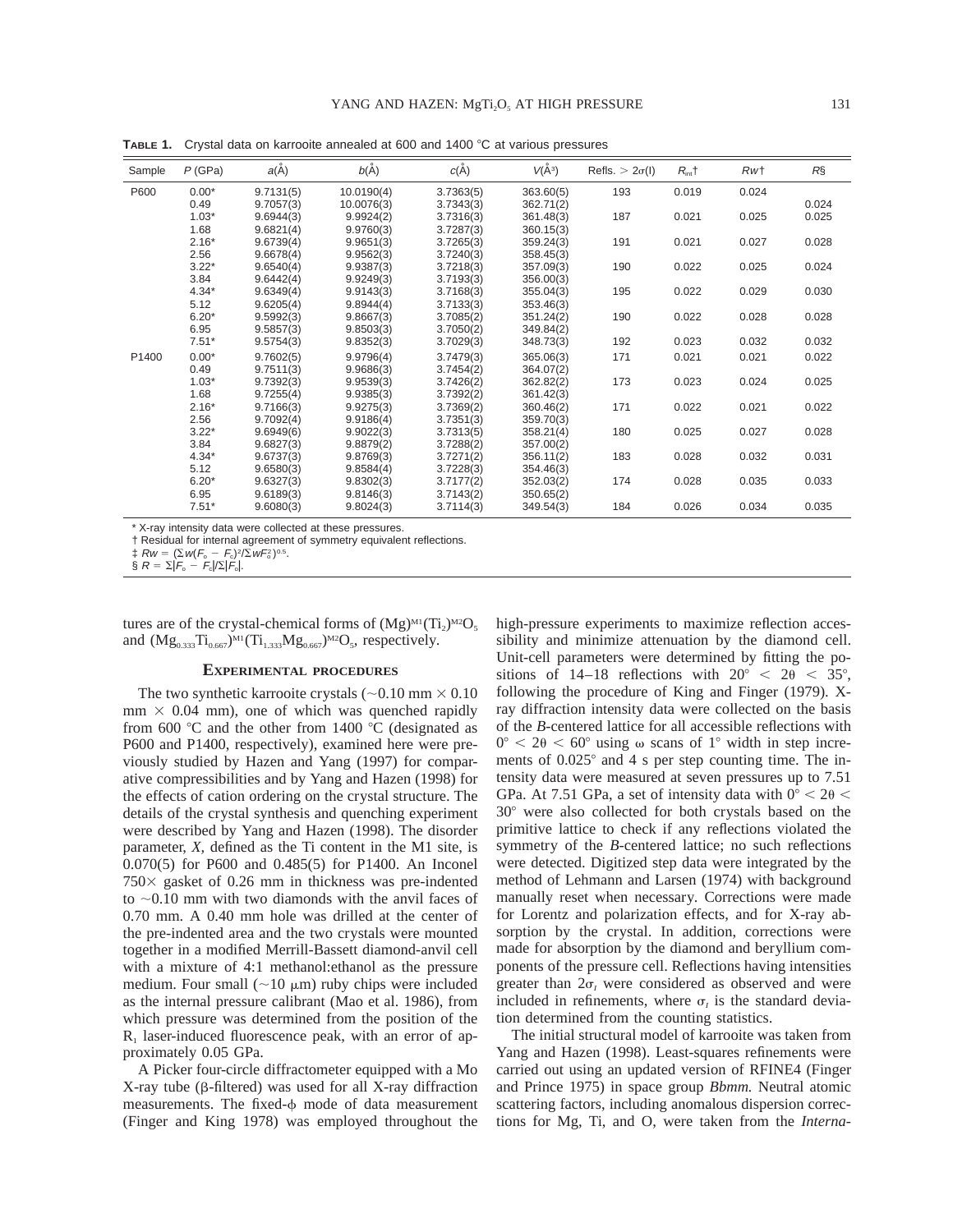| $R\S$<br>Rw <sub>t</sub><br>0.024<br>0.024<br>0.025<br>0.025<br>0.028<br>0.027 |
|--------------------------------------------------------------------------------|
|                                                                                |
|                                                                                |
|                                                                                |
|                                                                                |
|                                                                                |
|                                                                                |
|                                                                                |
| 0.025<br>0.024                                                                 |
|                                                                                |
| 0.030<br>0.029                                                                 |
|                                                                                |
| 0.028<br>0.028                                                                 |
|                                                                                |
| 0.032<br>0.032                                                                 |
| 0.022<br>0.021                                                                 |
|                                                                                |
| 0.024<br>0.025                                                                 |
|                                                                                |
| 0.022<br>0.021                                                                 |
|                                                                                |
| 0.027<br>0.028                                                                 |
|                                                                                |
| 0.032<br>0.031                                                                 |
|                                                                                |
| 0.035<br>0.033                                                                 |
|                                                                                |
| 0.034<br>0.035                                                                 |
|                                                                                |

**TABLE 1.** Crystal data on karrooite annealed at 600 and 1400 °C at various pressures

\* X-ray intensity data were collected at these pressures.

† Residual for internal agreement of symmetry equivalent reflections.

tures are of the crystal-chemical forms of  $(Mg)^{M1}(Ti)_{M2}O_5$ and  $(Mg_{0.333}Ti_{0.667})^{M1}(Ti_{1.333}Mg_{0.667})^{M2}O_5$ , respectively.

### **EXPERIMENTAL PROCEDURES**

The two synthetic karrooite crystals ( $\sim 0.10$  mm  $\times 0.10$ )  $mm \times 0.04$  mm), one of which was quenched rapidly from 600  $\degree$ C and the other from 1400  $\degree$ C (designated as P600 and P1400, respectively), examined here were previously studied by Hazen and Yang (1997) for comparative compressibilities and by Yang and Hazen (1998) for the effects of cation ordering on the crystal structure. The details of the crystal synthesis and quenching experiment were described by Yang and Hazen (1998). The disorder parameter, *X,* defined as the Ti content in the M1 site, is 0.070(5) for P600 and 0.485(5) for P1400. An Inconel  $750\times$  gasket of 0.26 mm in thickness was pre-indented to  $\sim$ 0.10 mm with two diamonds with the anvil faces of 0.70 mm. A 0.40 mm hole was drilled at the center of the pre-indented area and the two crystals were mounted together in a modified Merrill-Bassett diamond-anvil cell with a mixture of 4:1 methanol:ethanol as the pressure medium. Four small ( $\sim$ 10  $\mu$ m) ruby chips were included as the internal pressure calibrant (Mao et al. 1986), from which pressure was determined from the position of the  $R<sub>1</sub>$  laser-induced fluorescence peak, with an error of approximately 0.05 GPa.

A Picker four-circle diffractometer equipped with a Mo  $X$ -ray tube ( $\beta$ -filtered) was used for all  $X$ -ray diffraction measurements. The fixed- $\phi$  mode of data measurement (Finger and King 1978) was employed throughout the

high-pressure experiments to maximize reflection accessibility and minimize attenuation by the diamond cell. Unit-cell parameters were determined by fitting the positions of 14–18 reflections with  $20^{\circ} < 2\theta < 35^{\circ}$ , following the procedure of King and Finger (1979). Xray diffraction intensity data were collected on the basis of the *B*-centered lattice for all accessible reflections with  $0^{\circ}$  < 2 $\theta$  < 60° using  $\omega$  scans of 1° width in step increments of  $0.025^{\circ}$  and 4 s per step counting time. The intensity data were measured at seven pressures up to 7.51 GPa. At 7.51 GPa, a set of intensity data with  $0^{\circ} < 2\theta <$ 30° were also collected for both crystals based on the primitive lattice to check if any reflections violated the symmetry of the *B*-centered lattice; no such reflections were detected. Digitized step data were integrated by the method of Lehmann and Larsen (1974) with background manually reset when necessary. Corrections were made for Lorentz and polarization effects, and for X-ray absorption by the crystal. In addition, corrections were made for absorption by the diamond and beryllium components of the pressure cell. Reflections having intensities greater than  $2\sigma$ <sub>*l*</sub> were considered as observed and were included in refinements, where  $\sigma$ <sub>*I*</sub> is the standard deviation determined from the counting statistics.

The initial structural model of karrooite was taken from Yang and Hazen (1998). Least-squares refinements were carried out using an updated version of RFINE4 (Finger and Prince 1975) in space group *Bbmm.* Neutral atomic scattering factors, including anomalous dispersion corrections for Mg, Ti, and O, were taken from the *Interna-*

 $\ddagger$  Rw = ( $\Sigma w (F_{\rm o} - F_{\rm c})^2 / \Sigma w F_{\rm o}^2$ )<sup>0.5</sup>.<br>§ R =  $\Sigma |F_{\rm o} - F_{\rm c}| / \Sigma |F_{\rm o}|$ .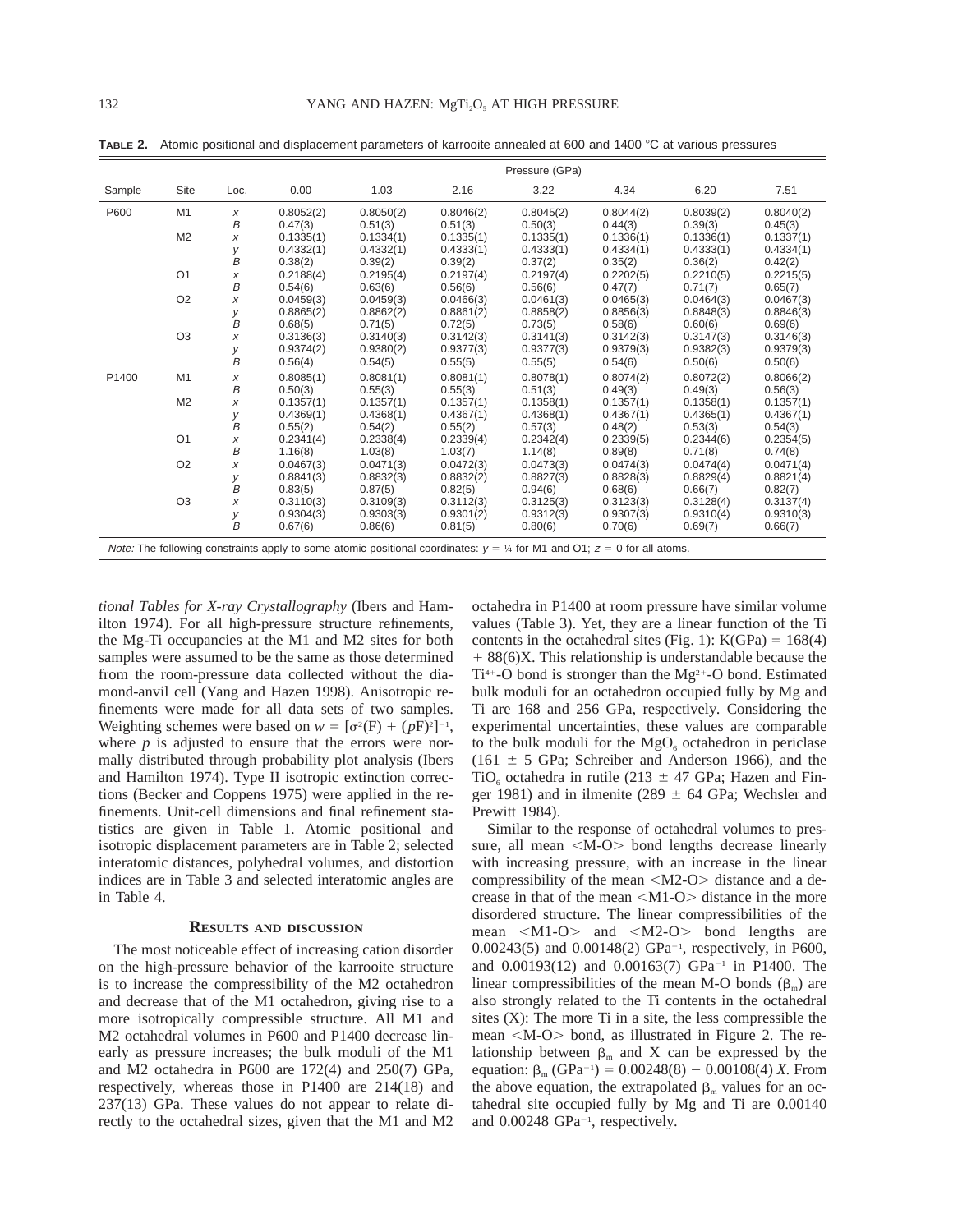|        |                |              | Pressure (GPa) |                                                                                                                                             |           |           |           |           |           |
|--------|----------------|--------------|----------------|---------------------------------------------------------------------------------------------------------------------------------------------|-----------|-----------|-----------|-----------|-----------|
| Sample | Site           | Loc.         | 0.00           | 1.03                                                                                                                                        | 2.16      | 3.22      | 4.34      | 6.20      | 7.51      |
| P600   | M <sub>1</sub> | X            | 0.8052(2)      | 0.8050(2)                                                                                                                                   | 0.8046(2) | 0.8045(2) | 0.8044(2) | 0.8039(2) | 0.8040(2) |
|        |                | B            | 0.47(3)        | 0.51(3)                                                                                                                                     | 0.51(3)   | 0.50(3)   | 0.44(3)   | 0.39(3)   | 0.45(3)   |
|        | M <sub>2</sub> | x            | 0.1335(1)      | 0.1334(1)                                                                                                                                   | 0.1335(1) | 0.1335(1) | 0.1336(1) | 0.1336(1) | 0.1337(1) |
|        |                | у            | 0.4332(1)      | 0.4332(1)                                                                                                                                   | 0.4333(1) | 0.4333(1) | 0.4334(1) | 0.4333(1) | 0.4334(1) |
|        |                | B            | 0.38(2)        | 0.39(2)                                                                                                                                     | 0.39(2)   | 0.37(2)   | 0.35(2)   | 0.36(2)   | 0.42(2)   |
|        | O <sub>1</sub> | X            | 0.2188(4)      | 0.2195(4)                                                                                                                                   | 0.2197(4) | 0.2197(4) | 0.2202(5) | 0.2210(5) | 0.2215(5) |
|        |                | B            | 0.54(6)        | 0.63(6)                                                                                                                                     | 0.56(6)   | 0.56(6)   | 0.47(7)   | 0.71(7)   | 0.65(7)   |
|        | O <sub>2</sub> | x            | 0.0459(3)      | 0.0459(3)                                                                                                                                   | 0.0466(3) | 0.0461(3) | 0.0465(3) | 0.0464(3) | 0.0467(3) |
|        |                | у            | 0.8865(2)      | 0.8862(2)                                                                                                                                   | 0.8861(2) | 0.8858(2) | 0.8856(3) | 0.8848(3) | 0.8846(3) |
|        |                | B            | 0.68(5)        | 0.71(5)                                                                                                                                     | 0.72(5)   | 0.73(5)   | 0.58(6)   | 0.60(6)   | 0.69(6)   |
|        | O <sub>3</sub> | X            | 0.3136(3)      | 0.3140(3)                                                                                                                                   | 0.3142(3) | 0.3141(3) | 0.3142(3) | 0.3147(3) | 0.3146(3) |
|        |                | у            | 0.9374(2)      | 0.9380(2)                                                                                                                                   | 0.9377(3) | 0.9377(3) | 0.9379(3) | 0.9382(3) | 0.9379(3) |
|        |                | B            | 0.56(4)        | 0.54(5)                                                                                                                                     | 0.55(5)   | 0.55(5)   | 0.54(6)   | 0.50(6)   | 0.50(6)   |
| P1400  | M1             | X            | 0.8085(1)      | 0.8081(1)                                                                                                                                   | 0.8081(1) | 0.8078(1) | 0.8074(2) | 0.8072(2) | 0.8066(2) |
|        |                | B            | 0.50(3)        | 0.55(3)                                                                                                                                     | 0.55(3)   | 0.51(3)   | 0.49(3)   | 0.49(3)   | 0.56(3)   |
|        | M <sub>2</sub> | x            | 0.1357(1)      | 0.1357(1)                                                                                                                                   | 0.1357(1) | 0.1358(1) | 0.1357(1) | 0.1358(1) | 0.1357(1) |
|        |                | у            | 0.4369(1)      | 0.4368(1)                                                                                                                                   | 0.4367(1) | 0.4368(1) | 0.4367(1) | 0.4365(1) | 0.4367(1) |
|        |                | B            | 0.55(2)        | 0.54(2)                                                                                                                                     | 0.55(2)   | 0.57(3)   | 0.48(2)   | 0.53(3)   | 0.54(3)   |
|        | O <sub>1</sub> | x            | 0.2341(4)      | 0.2338(4)                                                                                                                                   | 0.2339(4) | 0.2342(4) | 0.2339(5) | 0.2344(6) | 0.2354(5) |
|        |                | B            | 1.16(8)        | 1.03(8)                                                                                                                                     | 1.03(7)   | 1.14(8)   | 0.89(8)   | 0.71(8)   | 0.74(8)   |
|        | O <sub>2</sub> | X            | 0.0467(3)      | 0.0471(3)                                                                                                                                   | 0.0472(3) | 0.0473(3) | 0.0474(3) | 0.0474(4) | 0.0471(4) |
|        |                | У            | 0.8841(3)      | 0.8832(3)                                                                                                                                   | 0.8832(2) | 0.8827(3) | 0.8828(3) | 0.8829(4) | 0.8821(4) |
|        |                | B            | 0.83(5)        | 0.87(5)                                                                                                                                     | 0.82(5)   | 0.94(6)   | 0.68(6)   | 0.66(7)   | 0.82(7)   |
|        | O <sub>3</sub> | $\pmb{\chi}$ | 0.3110(3)      | 0.3109(3)                                                                                                                                   | 0.3112(3) | 0.3125(3) | 0.3123(3) | 0.3128(4) | 0.3137(4) |
|        |                | у            | 0.9304(3)      | 0.9303(3)                                                                                                                                   | 0.9301(2) | 0.9312(3) | 0.9307(3) | 0.9310(4) | 0.9310(3) |
|        |                | $\bar{B}$    | 0.67(6)        | 0.86(6)                                                                                                                                     | 0.81(5)   | 0.80(6)   | 0.70(6)   | 0.69(7)   | 0.66(7)   |
|        |                |              |                | <i>Note:</i> The following constraints apply to some atomic positional coordinates: $y = \frac{1}{4}$ for M1 and O1; $z = 0$ for all atoms. |           |           |           |           |           |

TABLE 2. Atomic positional and displacement parameters of karrooite annealed at 600 and 1400 °C at various pressures

*tional Tables for X-ray Crystallography* (Ibers and Hamilton 1974). For all high-pressure structure refinements, the Mg-Ti occupancies at the M1 and M2 sites for both samples were assumed to be the same as those determined from the room-pressure data collected without the diamond-anvil cell (Yang and Hazen 1998). Anisotropic refinements were made for all data sets of two samples. Weighting schemes were based on  $w = [\sigma^2(F) + (pF)^2]^{-1}$ , where  $p$  is adjusted to ensure that the errors were normally distributed through probability plot analysis (Ibers and Hamilton 1974). Type II isotropic extinction corrections (Becker and Coppens 1975) were applied in the refinements. Unit-cell dimensions and final refinement statistics are given in Table 1. Atomic positional and isotropic displacement parameters are in Table 2; selected interatomic distances, polyhedral volumes, and distortion indices are in Table 3 and selected interatomic angles are in Table 4.

#### **RESULTS AND DISCUSSION**

The most noticeable effect of increasing cation disorder on the high-pressure behavior of the karrooite structure is to increase the compressibility of the M2 octahedron and decrease that of the M1 octahedron, giving rise to a more isotropically compressible structure. All M1 and M2 octahedral volumes in P600 and P1400 decrease linearly as pressure increases; the bulk moduli of the M1 and M2 octahedra in P600 are 172(4) and 250(7) GPa, respectively, whereas those in P1400 are 214(18) and 237(13) GPa. These values do not appear to relate directly to the octahedral sizes, given that the M1 and M2

octahedra in P1400 at room pressure have similar volume values (Table 3). Yet, they are a linear function of the Ti contents in the octahedral sites (Fig. 1):  $K(GPa) = 168(4)$  $+ 88(6)X$ . This relationship is understandable because the Ti<sup>4+</sup>-O bond is stronger than the Mg<sup>2+</sup>-O bond. Estimated bulk moduli for an octahedron occupied fully by Mg and Ti are 168 and 256 GPa, respectively. Considering the experimental uncertainties, these values are comparable to the bulk moduli for the  $MgO<sub>6</sub>$  octahedron in periclase  $(161 \pm 5 \text{ GPa}; \text{ Schreiber and Anderson 1966}),$  and the TiO<sub>6</sub> octahedra in rutile (213  $\pm$  47 GPa; Hazen and Finger 1981) and in ilmenite (289  $\pm$  64 GPa; Wechsler and Prewitt 1984).

Similar to the response of octahedral volumes to pressure, all mean  $|M-O\rangle$  bond lengths decrease linearly with increasing pressure, with an increase in the linear compressibility of the mean  $|M2-O\rangle$  distance and a decrease in that of the mean  $|M1-O\rangle$  distance in the more disordered structure. The linear compressibilities of the mean  $\langle M1-O \rangle$  and  $\langle M2-O \rangle$  bond lengths are  $0.00243(5)$  and  $0.00148(2)$  GPa<sup>-1</sup>, respectively, in P600, and  $0.00193(12)$  and  $0.00163(7)$  GPa<sup>-1</sup> in P1400. The linear compressibilities of the mean M-O bonds  $(\beta_m)$  are also strongly related to the Ti contents in the octahedral sites  $(X)$ : The more Ti in a site, the less compressible the mean  $|M-O\rangle$  bond, as illustrated in Figure 2. The relationship between  $\beta_m$  and X can be expressed by the equation:  $\beta_{\text{m}}$  (GPa<sup>-1</sup>) = 0.00248(8) - 0.00108(4) *X*. From the above equation, the extrapolated  $\beta_m$  values for an octahedral site occupied fully by Mg and Ti are 0.00140 and  $0.00248$  GPa<sup>-1</sup>, respectively.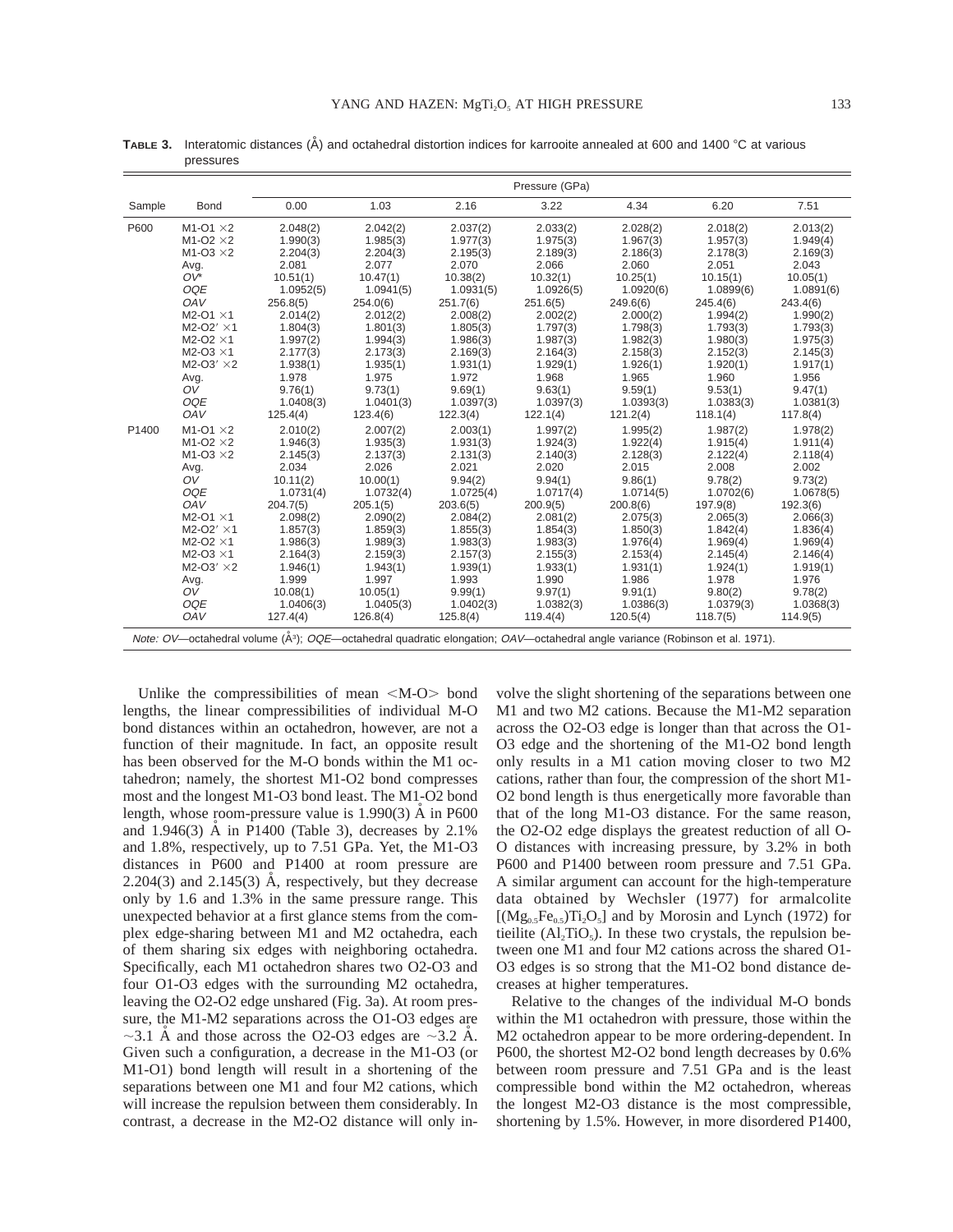|        |                                                                                                                                                                                                                                      | Pressure (GPa)                                                                                                                                                                                                                                                                                                                       |                                                                                                                                                                                          |                                                                                                                                                                                         |                                                                                                                                                                                         |                                                                                                                                                                                         |                                                                                                                                                                                         |                                                                                                                                                                                         |
|--------|--------------------------------------------------------------------------------------------------------------------------------------------------------------------------------------------------------------------------------------|--------------------------------------------------------------------------------------------------------------------------------------------------------------------------------------------------------------------------------------------------------------------------------------------------------------------------------------|------------------------------------------------------------------------------------------------------------------------------------------------------------------------------------------|-----------------------------------------------------------------------------------------------------------------------------------------------------------------------------------------|-----------------------------------------------------------------------------------------------------------------------------------------------------------------------------------------|-----------------------------------------------------------------------------------------------------------------------------------------------------------------------------------------|-----------------------------------------------------------------------------------------------------------------------------------------------------------------------------------------|-----------------------------------------------------------------------------------------------------------------------------------------------------------------------------------------|
| Sample | Bond                                                                                                                                                                                                                                 | 0.00                                                                                                                                                                                                                                                                                                                                 | 1.03                                                                                                                                                                                     | 2.16                                                                                                                                                                                    | 3.22                                                                                                                                                                                    | 4.34                                                                                                                                                                                    | 6.20                                                                                                                                                                                    | 7.51                                                                                                                                                                                    |
| P600   | $M1-O1 \times 2$<br>$M1-O2 \times 2$<br>$M1-O3 \times 2$<br>Avg.<br>$OV^*$<br>OQE<br>OAV<br>$M2-O1 \times 1$<br>$M2-O2' \times 1$<br>$M2-O2 \times 1$<br>$M2-O3 \times 1$<br>$M2-O3' \times 2$<br>Avg.<br>OV<br><b>OQE</b><br>OAV    | 2.048(2)<br>1.990(3)<br>2.204(3)<br>2.081<br>10.51(1)<br>1.0952(5)<br>256.8(5)<br>2.014(2)<br>1.804(3)<br>1.997(2)<br>2.177(3)<br>1.938(1)<br>1.978<br>9.76(1)<br>1.0408(3)<br>125.4(4)                                                                                                                                              | 2.042(2)<br>1.985(3)<br>2.204(3)<br>2.077<br>10.47(1)<br>1.0941(5)<br>254.0(6)<br>2.012(2)<br>1.801(3)<br>1.994(3)<br>2.173(3)<br>1.935(1)<br>1.975<br>9.73(1)<br>1.0401(3)<br>123.4(6)  | 2.037(2)<br>1.977(3)<br>2.195(3)<br>2.070<br>10.38(2)<br>1.0931(5)<br>251.7(6)<br>2.008(2)<br>1.805(3)<br>1.986(3)<br>2.169(3)<br>1.931(1)<br>1.972<br>9.69(1)<br>1.0397(3)<br>122.3(4) | 2.033(2)<br>1.975(3)<br>2.189(3)<br>2.066<br>10.32(1)<br>1.0926(5)<br>251.6(5)<br>2.002(2)<br>1.797(3)<br>1.987(3)<br>2.164(3)<br>1.929(1)<br>1.968<br>9.63(1)<br>1.0397(3)<br>122.1(4) | 2.028(2)<br>1.967(3)<br>2.186(3)<br>2.060<br>10.25(1)<br>1.0920(6)<br>249.6(6)<br>2.000(2)<br>1.798(3)<br>1.982(3)<br>2.158(3)<br>1.926(1)<br>1.965<br>9.59(1)<br>1.0393(3)<br>121.2(4) | 2.018(2)<br>1.957(3)<br>2.178(3)<br>2.051<br>10.15(1)<br>1.0899(6)<br>245.4(6)<br>1.994(2)<br>1.793(3)<br>1.980(3)<br>2.152(3)<br>1.920(1)<br>1.960<br>9.53(1)<br>1.0383(3)<br>118.1(4) | 2.013(2)<br>1.949(4)<br>2.169(3)<br>2.043<br>10.05(1)<br>1.0891(6)<br>243.4(6)<br>1.990(2)<br>1.793(3)<br>1.975(3)<br>2.145(3)<br>1.917(1)<br>1.956<br>9.47(1)<br>1.0381(3)<br>117.8(4) |
| P1400  | $M1-O1 \times 2$<br>$M1-O2 \times 2$<br>$M1-O3 \times 2$<br>Avg.<br>OV<br><b>OQE</b><br>OAV<br>$M2-O1 \times 1$<br>$M2-O2' \times 1$<br>$M2-O2 \times 1$<br>$M2-O3 \times 1$<br>$M2-O3' \times 2$<br>Avg.<br>OV<br><b>OQE</b><br>OAV | 2.010(2)<br>1.946(3)<br>2.145(3)<br>2.034<br>10.11(2)<br>1.0731(4)<br>204.7(5)<br>2.098(2)<br>1.857(3)<br>1.986(3)<br>2.164(3)<br>1.946(1)<br>1.999<br>10.08(1)<br>1.0406(3)<br>127.4(4)<br>Note: OV—octahedral volume (Å <sup>3</sup> ); OQE—octahedral quadratic elongation; OAV—octahedral angle variance (Robinson et al. 1971). | 2.007(2)<br>1.935(3)<br>2.137(3)<br>2.026<br>10.00(1)<br>1.0732(4)<br>205.1(5)<br>2.090(2)<br>1.859(3)<br>1.989(3)<br>2.159(3)<br>1.943(1)<br>1.997<br>10.05(1)<br>1.0405(3)<br>126.8(4) | 2.003(1)<br>1.931(3)<br>2.131(3)<br>2.021<br>9.94(2)<br>1.0725(4)<br>203.6(5)<br>2.084(2)<br>1.855(3)<br>1.983(3)<br>2.157(3)<br>1.939(1)<br>1.993<br>9.99(1)<br>1.0402(3)<br>125.8(4)  | 1.997(2)<br>1.924(3)<br>2.140(3)<br>2.020<br>9.94(1)<br>1.0717(4)<br>200.9(5)<br>2.081(2)<br>1.854(3)<br>1.983(3)<br>2.155(3)<br>1.933(1)<br>1.990<br>9.97(1)<br>1.0382(3)<br>119.4(4)  | 1.995(2)<br>1.922(4)<br>2.128(3)<br>2.015<br>9.86(1)<br>1.0714(5)<br>200.8(6)<br>2.075(3)<br>1.850(3)<br>1.976(4)<br>2.153(4)<br>1.931(1)<br>1.986<br>9.91(1)<br>1.0386(3)<br>120.5(4)  | 1.987(2)<br>1.915(4)<br>2.122(4)<br>2.008<br>9.78(2)<br>1.0702(6)<br>197.9(8)<br>2.065(3)<br>1.842(4)<br>1.969(4)<br>2.145(4)<br>1.924(1)<br>1.978<br>9.80(2)<br>1.0379(3)<br>118.7(5)  | 1.978(2)<br>1.911(4)<br>2.118(4)<br>2.002<br>9.73(2)<br>1.0678(5)<br>192.3(6)<br>2.066(3)<br>1.836(4)<br>1.969(4)<br>2.146(4)<br>1.919(1)<br>1.976<br>9.78(2)<br>1.0368(3)<br>114.9(5)  |

**TABLE 3.** Interatomic distances (Å) and octahedral distortion indices for karrooite annealed at 600 and 1400 °C at various pressures

Unlike the compressibilities of mean  $|M-O\rangle$  bond lengths, the linear compressibilities of individual M-O bond distances within an octahedron, however, are not a function of their magnitude. In fact, an opposite result has been observed for the M-O bonds within the M1 octahedron; namely, the shortest M1-O2 bond compresses most and the longest M1-O3 bond least. The M1-O2 bond length, whose room-pressure value is  $1.990(3)$  Å in P600 and  $1.946(3)$  Å in P1400 (Table 3), decreases by  $2.1\%$ and 1.8%, respectively, up to 7.51 GPa. Yet, the M1-O3 distances in P600 and P1400 at room pressure are  $2.204(3)$  and  $2.145(3)$  Å, respectively, but they decrease only by 1.6 and 1.3% in the same pressure range. This unexpected behavior at a first glance stems from the complex edge-sharing between M1 and M2 octahedra, each of them sharing six edges with neighboring octahedra. Specifically, each M1 octahedron shares two O2-O3 and four O1-O3 edges with the surrounding M2 octahedra, leaving the O2-O2 edge unshared (Fig. 3a). At room pressure, the M1-M2 separations across the O1-O3 edges are  $\sim$ 3.1 Å and those across the O2-O3 edges are  $\sim$ 3.2 Å. Given such a configuration, a decrease in the M1-O3 (or M1-O1) bond length will result in a shortening of the separations between one M1 and four M2 cations, which will increase the repulsion between them considerably. In contrast, a decrease in the M2-O2 distance will only involve the slight shortening of the separations between one M1 and two M2 cations. Because the M1-M2 separation across the O2-O3 edge is longer than that across the O1- O3 edge and the shortening of the M1-O2 bond length only results in a M1 cation moving closer to two M2 cations, rather than four, the compression of the short M1- O2 bond length is thus energetically more favorable than that of the long M1-O3 distance. For the same reason, the O2-O2 edge displays the greatest reduction of all O-O distances with increasing pressure, by 3.2% in both P600 and P1400 between room pressure and 7.51 GPa. A similar argument can account for the high-temperature data obtained by Wechsler (1977) for armalcolite  $[(Mg<sub>0.5</sub>Fe<sub>0.5</sub>)Ti<sub>2</sub>O<sub>5</sub>]$  and by Morosin and Lynch (1972) for tieilite  $(Al<sub>2</sub>TiO<sub>5</sub>)$ . In these two crystals, the repulsion between one M1 and four M2 cations across the shared O1- O3 edges is so strong that the M1-O2 bond distance decreases at higher temperatures.

Relative to the changes of the individual M-O bonds within the M1 octahedron with pressure, those within the M2 octahedron appear to be more ordering-dependent. In P600, the shortest M2-O2 bond length decreases by 0.6% between room pressure and 7.51 GPa and is the least compressible bond within the M2 octahedron, whereas the longest M2-O3 distance is the most compressible, shortening by 1.5%. However, in more disordered P1400,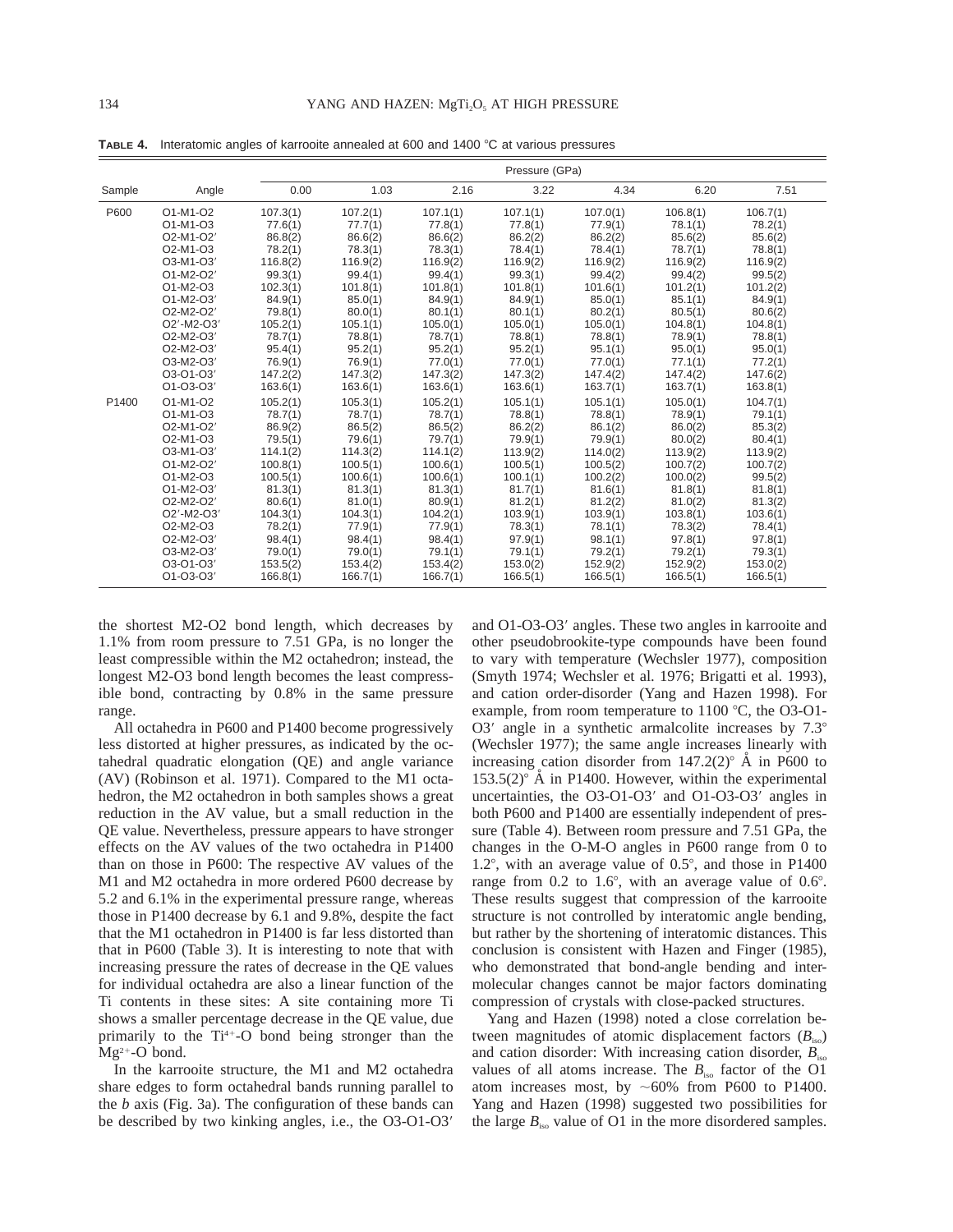|        |                                                |          |          |          | Pressure (GPa) |          |          |          |  |
|--------|------------------------------------------------|----------|----------|----------|----------------|----------|----------|----------|--|
| Sample | Angle                                          | 0.00     | 1.03     | 2.16     | 3.22           | 4.34     | 6.20     | 7.51     |  |
| P600   | O1-M1-O2                                       | 107.3(1) | 107.2(1) | 107.1(1) | 107.1(1)       | 107.0(1) | 106.8(1) | 106.7(1) |  |
|        | O1-M1-O3                                       | 77.6(1)  | 77.7(1)  | 77.8(1)  | 77.8(1)        | 77.9(1)  | 78.1(1)  | 78.2(1)  |  |
|        | O2-M1-O2'                                      | 86.8(2)  | 86.6(2)  | 86.6(2)  | 86.2(2)        | 86.2(2)  | 85.6(2)  | 85.6(2)  |  |
|        | O <sub>2</sub> -M <sub>1</sub> -O <sub>3</sub> | 78.2(1)  | 78.3(1)  | 78.3(1)  | 78.4(1)        | 78.4(1)  | 78.7(1)  | 78.8(1)  |  |
|        | O3-M1-O3'                                      | 116.8(2) | 116.9(2) | 116.9(2) | 116.9(2)       | 116.9(2) | 116.9(2) | 116.9(2) |  |
|        | O1-M2-O2'                                      | 99.3(1)  | 99.4(1)  | 99.4(1)  | 99.3(1)        | 99.4(2)  | 99.4(2)  | 99.5(2)  |  |
|        | O1-M2-O3                                       | 102.3(1) | 101.8(1) | 101.8(1) | 101.8(1)       | 101.6(1) | 101.2(1) | 101.2(2) |  |
|        | O1-M2-O3'                                      | 84.9(1)  | 85.0(1)  | 84.9(1)  | 84.9(1)        | 85.0(1)  | 85.1(1)  | 84.9(1)  |  |
|        | O2-M2-O2'                                      | 79.8(1)  | 80.0(1)  | 80.1(1)  | 80.1(1)        | 80.2(1)  | 80.5(1)  | 80.6(2)  |  |
|        | O2'-M2-O3'                                     | 105.2(1) | 105.1(1) | 105.0(1) | 105.0(1)       | 105.0(1) | 104.8(1) | 104.8(1) |  |
|        | O2-M2-O3'                                      | 78.7(1)  | 78.8(1)  | 78.7(1)  | 78.8(1)        | 78.8(1)  | 78.9(1)  | 78.8(1)  |  |
|        | O2-M2-O3'                                      | 95.4(1)  | 95.2(1)  | 95.2(1)  | 95.2(1)        | 95.1(1)  | 95.0(1)  | 95.0(1)  |  |
|        | O3-M2-O3'                                      | 76.9(1)  | 76.9(1)  | 77.0(1)  | 77.0(1)        | 77.0(1)  | 77.1(1)  | 77.2(1)  |  |
|        | O3-O1-O3'                                      | 147.2(2) | 147.3(2) | 147.3(2) | 147.3(2)       | 147.4(2) | 147.4(2) | 147.6(2) |  |
|        | O1-O3-O3'                                      | 163.6(1) | 163.6(1) | 163.6(1) | 163.6(1)       | 163.7(1) | 163.7(1) | 163.8(1) |  |
| P1400  | O1-M1-O2                                       | 105.2(1) | 105.3(1) | 105.2(1) | 105.1(1)       | 105.1(1) | 105.0(1) | 104.7(1) |  |
|        | O1-M1-O3                                       | 78.7(1)  | 78.7(1)  | 78.7(1)  | 78.8(1)        | 78.8(1)  | 78.9(1)  | 79.1(1)  |  |
|        | O2-M1-O2'                                      | 86.9(2)  | 86.5(2)  | 86.5(2)  | 86.2(2)        | 86.1(2)  | 86.0(2)  | 85.3(2)  |  |
|        | O <sub>2</sub> -M <sub>1</sub> -O <sub>3</sub> | 79.5(1)  | 79.6(1)  | 79.7(1)  | 79.9(1)        | 79.9(1)  | 80.0(2)  | 80.4(1)  |  |
|        | O3-M1-O3'                                      | 114.1(2) | 114.3(2) | 114.1(2) | 113.9(2)       | 114.0(2) | 113.9(2) | 113.9(2) |  |
|        | O1-M2-O2'                                      | 100.8(1) | 100.5(1) | 100.6(1) | 100.5(1)       | 100.5(2) | 100.7(2) | 100.7(2) |  |
|        | O1-M2-O3                                       | 100.5(1) | 100.6(1) | 100.6(1) | 100.1(1)       | 100.2(2) | 100.0(2) | 99.5(2)  |  |
|        | O1-M2-O3'                                      | 81.3(1)  | 81.3(1)  | 81.3(1)  | 81.7(1)        | 81.6(1)  | 81.8(1)  | 81.8(1)  |  |
|        | O2-M2-O2'                                      | 80.6(1)  | 81.0(1)  | 80.9(1)  | 81.2(1)        | 81.2(2)  | 81.0(2)  | 81.3(2)  |  |
|        | O2'-M2-O3'                                     | 104.3(1) | 104.3(1) | 104.2(1) | 103.9(1)       | 103.9(1) | 103.8(1) | 103.6(1) |  |
|        | O2-M2-O3                                       | 78.2(1)  | 77.9(1)  | 77.9(1)  | 78.3(1)        | 78.1(1)  | 78.3(2)  | 78.4(1)  |  |
|        | O2-M2-O3'                                      | 98.4(1)  | 98.4(1)  | 98.4(1)  | 97.9(1)        | 98.1(1)  | 97.8(1)  | 97.8(1)  |  |
|        | O3-M2-O3'                                      | 79.0(1)  | 79.0(1)  | 79.1(1)  | 79.1(1)        | 79.2(1)  | 79.2(1)  | 79.3(1)  |  |
|        | O3-O1-O3'                                      | 153.5(2) | 153.4(2) | 153.4(2) | 153.0(2)       | 152.9(2) | 152.9(2) | 153.0(2) |  |
|        | O1-O3-O3'                                      | 166.8(1) | 166.7(1) | 166.7(1) | 166.5(1)       | 166.5(1) | 166.5(1) | 166.5(1) |  |

**TABLE 4.** Interatomic angles of karrooite annealed at 600 and 1400 °C at various pressures

the shortest M2-O2 bond length, which decreases by 1.1% from room pressure to 7.51 GPa, is no longer the least compressible within the M2 octahedron; instead, the longest M2-O3 bond length becomes the least compressible bond, contracting by 0.8% in the same pressure range.

All octahedra in P600 and P1400 become progressively less distorted at higher pressures, as indicated by the octahedral quadratic elongation (QE) and angle variance (AV) (Robinson et al. 1971). Compared to the M1 octahedron, the M2 octahedron in both samples shows a great reduction in the AV value, but a small reduction in the QE value. Nevertheless, pressure appears to have stronger effects on the AV values of the two octahedra in P1400 than on those in P600: The respective AV values of the M1 and M2 octahedra in more ordered P600 decrease by 5.2 and 6.1% in the experimental pressure range, whereas those in P1400 decrease by 6.1 and 9.8%, despite the fact that the M1 octahedron in P1400 is far less distorted than that in P600 (Table 3). It is interesting to note that with increasing pressure the rates of decrease in the QE values for individual octahedra are also a linear function of the Ti contents in these sites: A site containing more Ti shows a smaller percentage decrease in the QE value, due primarily to the  $Ti^{4+}-O$  bond being stronger than the  $Mg^{2+}-O$  bond.

In the karrooite structure, the M1 and M2 octahedra share edges to form octahedral bands running parallel to the *b* axis (Fig. 3a). The configuration of these bands can be described by two kinking angles, i.e., the O3-O1-O3'

and O1-O3-O3' angles. These two angles in karrooite and other pseudobrookite-type compounds have been found to vary with temperature (Wechsler 1977), composition (Smyth 1974; Wechsler et al. 1976; Brigatti et al. 1993), and cation order-disorder (Yang and Hazen 1998). For example, from room temperature to  $1100 \degree C$ , the O3-O1-O3 $'$  angle in a synthetic armalcolite increases by  $7.3^\circ$ (Wechsler 1977); the same angle increases linearly with increasing cation disorder from  $147.2(2)^\circ$  Å in P600 to  $153.5(2)^\circ$  Å in P1400. However, within the experimental uncertainties, the  $O3-O1-O3'$  and  $O1-O3-O3'$  angles in both P600 and P1400 are essentially independent of pressure (Table 4). Between room pressure and 7.51 GPa, the changes in the O-M-O angles in P600 range from 0 to 1.2°, with an average value of  $0.5^{\circ}$ , and those in P1400 range from  $0.2$  to  $1.6^{\circ}$ , with an average value of  $0.6^{\circ}$ . These results suggest that compression of the karrooite structure is not controlled by interatomic angle bending, but rather by the shortening of interatomic distances. This conclusion is consistent with Hazen and Finger (1985), who demonstrated that bond-angle bending and intermolecular changes cannot be major factors dominating compression of crystals with close-packed structures.

Yang and Hazen (1998) noted a close correlation between magnitudes of atomic displacement factors  $(B_{\text{iso}})$ and cation disorder: With increasing cation disorder,  $B_{\text{iso}}$ values of all atoms increase. The  $B_{\text{iso}}$  factor of the O1 atom increases most, by  $~160\%$  from P600 to P1400. Yang and Hazen (1998) suggested two possibilities for the large  $B_{\text{iso}}$  value of O1 in the more disordered samples.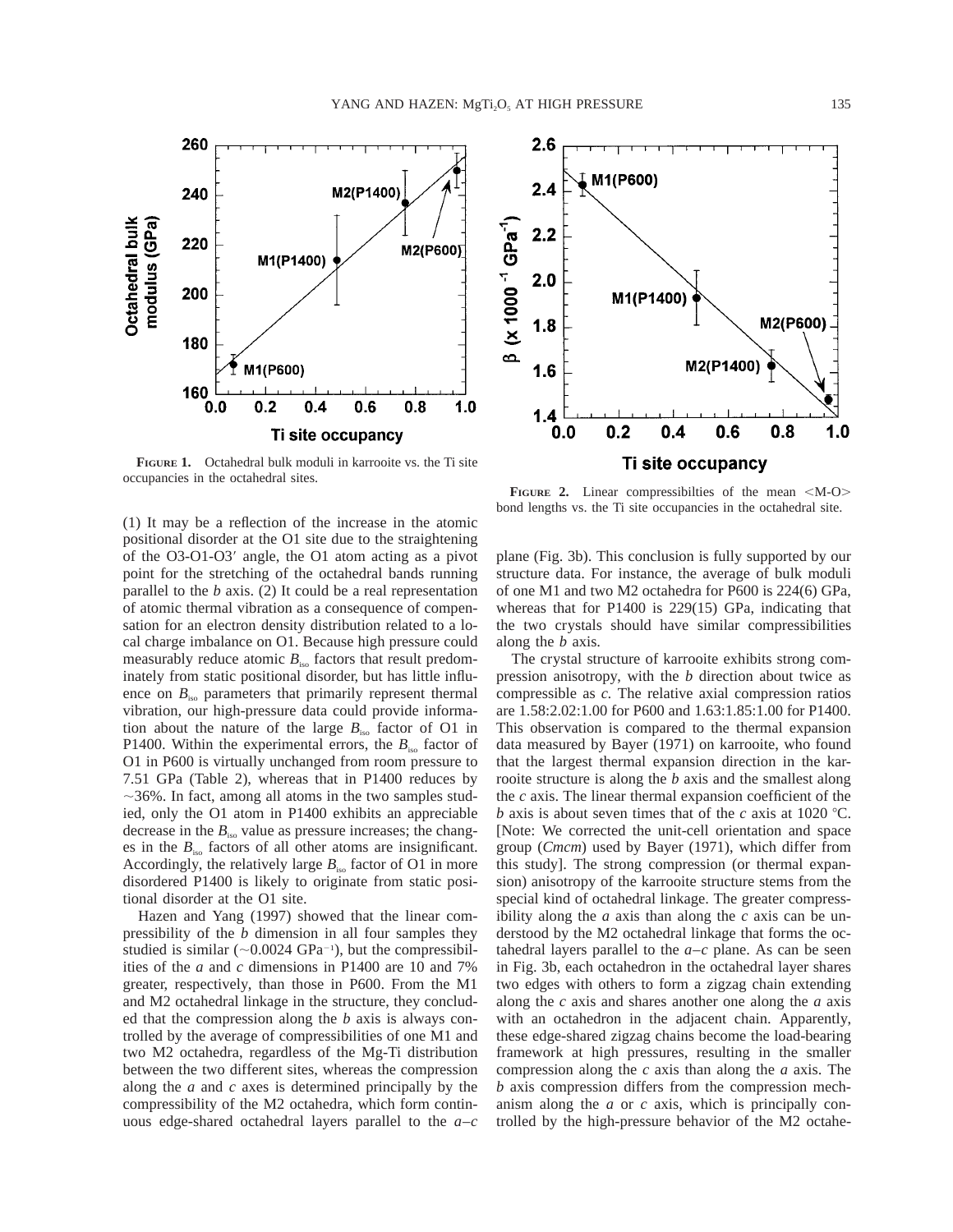**FIGURE 1.** Octahedral bulk moduli in karrooite vs. the Ti site occupancies in the octahedral sites.

260

240

220

200

180

160

Octahedral bulk<br>modulus (GPa)

(1) It may be a reflection of the increase in the atomic positional disorder at the O1 site due to the straightening of the O3-O1-O3 $^{\prime}$  angle, the O1 atom acting as a pivot point for the stretching of the octahedral bands running parallel to the *b* axis. (2) It could be a real representation of atomic thermal vibration as a consequence of compensation for an electron density distribution related to a local charge imbalance on O1. Because high pressure could measurably reduce atomic  $B_{\text{iso}}$  factors that result predominately from static positional disorder, but has little influence on  $B_{\text{iso}}$  parameters that primarily represent thermal vibration, our high-pressure data could provide information about the nature of the large  $B_{\text{iso}}$  factor of O1 in P1400. Within the experimental errors, the  $B_{\text{iso}}$  factor of O1 in P600 is virtually unchanged from room pressure to 7.51 GPa (Table 2), whereas that in P1400 reduces by  $\sim$ 36%. In fact, among all atoms in the two samples studied, only the O1 atom in P1400 exhibits an appreciable decrease in the  $B_{\text{iso}}$  value as pressure increases; the changes in the  $B_{\text{iso}}$  factors of all other atoms are insignificant. Accordingly, the relatively large  $B_{\text{iso}}$  factor of O1 in more disordered P1400 is likely to originate from static positional disorder at the O1 site.

Hazen and Yang (1997) showed that the linear compressibility of the *b* dimension in all four samples they studied is similar  $(\sim 0.0024 \text{ GPa}^{-1})$ , but the compressibilities of the *a* and *c* dimensions in P1400 are 10 and 7% greater, respectively, than those in P600. From the M1 and M2 octahedral linkage in the structure, they concluded that the compression along the *b* axis is always controlled by the average of compressibilities of one M1 and two M2 octahedra, regardless of the Mg-Ti distribution between the two different sites, whereas the compression along the *a* and *c* axes is determined principally by the compressibility of the M2 octahedra, which form continuous edge-shared octahedral layers parallel to the *a–c*

**FIGURE** 2. Linear compressibilities of the mean  $|M-O\rangle$ bond lengths vs. the Ti site occupancies in the octahedral site.

 $0.4$ 

Ti site occupancy

M2(P1400)

 $0.6$ 

M1(P600)

 $0.2$ 

M1(P1400)

plane (Fig. 3b). This conclusion is fully supported by our structure data. For instance, the average of bulk moduli of one M1 and two M2 octahedra for P600 is 224(6) GPa, whereas that for P1400 is 229(15) GPa, indicating that the two crystals should have similar compressibilities along the *b* axis.

The crystal structure of karrooite exhibits strong compression anisotropy, with the *b* direction about twice as compressible as *c.* The relative axial compression ratios are 1.58:2.02:1.00 for P600 and 1.63:1.85:1.00 for P1400. This observation is compared to the thermal expansion data measured by Bayer (1971) on karrooite, who found that the largest thermal expansion direction in the karrooite structure is along the *b* axis and the smallest along the *c* axis. The linear thermal expansion coefficient of the *b* axis is about seven times that of the *c* axis at 1020 °C. [Note: We corrected the unit-cell orientation and space group (*Cmcm*) used by Bayer (1971), which differ from this study]. The strong compression (or thermal expansion) anisotropy of the karrooite structure stems from the special kind of octahedral linkage. The greater compressibility along the  $a$  axis than along the  $c$  axis can be understood by the M2 octahedral linkage that forms the octahedral layers parallel to the *a–c* plane. As can be seen in Fig. 3b, each octahedron in the octahedral layer shares two edges with others to form a zigzag chain extending along the *c* axis and shares another one along the *a* axis with an octahedron in the adjacent chain. Apparently, these edge-shared zigzag chains become the load-bearing framework at high pressures, resulting in the smaller compression along the *c* axis than along the *a* axis. The *b* axis compression differs from the compression mechanism along the *a* or *c* axis, which is principally controlled by the high-pressure behavior of the M2 octahe-



M2(P600)

 $0.8$ 

 $1.0$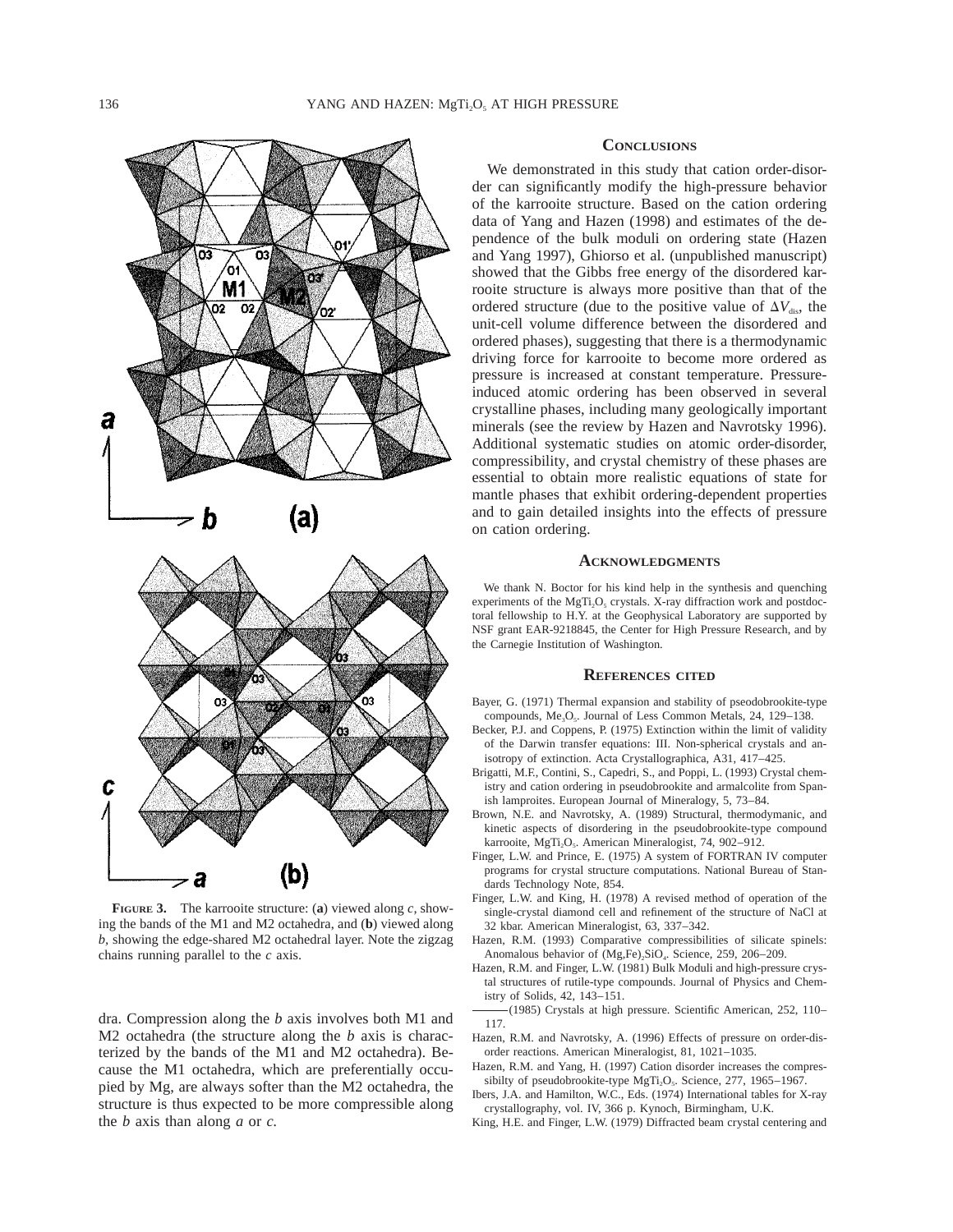

**FIGURE 3.** The karrooite structure: (**a**) viewed along *c,* showing the bands of the M1 and M2 octahedra, and (**b**) viewed along *b,* showing the edge-shared M2 octahedral layer. Note the zigzag chains running parallel to the *c* axis.

dra. Compression along the *b* axis involves both M1 and M2 octahedra (the structure along the *b* axis is characterized by the bands of the M1 and M2 octahedra). Because the M1 octahedra, which are preferentially occupied by Mg, are always softer than the M2 octahedra, the structure is thus expected to be more compressible along the *b* axis than along *a* or *c.*

## **CONCLUSIONS**

We demonstrated in this study that cation order-disorder can significantly modify the high-pressure behavior of the karrooite structure. Based on the cation ordering data of Yang and Hazen (1998) and estimates of the dependence of the bulk moduli on ordering state (Hazen and Yang 1997), Ghiorso et al. (unpublished manuscript) showed that the Gibbs free energy of the disordered karrooite structure is always more positive than that of the ordered structure (due to the positive value of  $\Delta V_{\text{dis}}$ , the unit-cell volume difference between the disordered and ordered phases), suggesting that there is a thermodynamic driving force for karrooite to become more ordered as pressure is increased at constant temperature. Pressureinduced atomic ordering has been observed in several crystalline phases, including many geologically important minerals (see the review by Hazen and Navrotsky 1996). Additional systematic studies on atomic order-disorder, compressibility, and crystal chemistry of these phases are essential to obtain more realistic equations of state for mantle phases that exhibit ordering-dependent properties and to gain detailed insights into the effects of pressure on cation ordering.

## **ACKNOWLEDGMENTS**

We thank N. Boctor for his kind help in the synthesis and quenching experiments of the MgTi<sub>2</sub>O<sub>5</sub> crystals. X-ray diffraction work and postdoctoral fellowship to H.Y. at the Geophysical Laboratory are supported by NSF grant EAR-9218845, the Center for High Pressure Research, and by the Carnegie Institution of Washington.

#### **REFERENCES CITED**

- Bayer, G. (1971) Thermal expansion and stability of pseodobrookite-type compounds, Me<sub>3</sub>O<sub>5</sub>. Journal of Less Common Metals, 24, 129-138.
- Becker, P.J. and Coppens, P. (1975) Extinction within the limit of validity of the Darwin transfer equations: III. Non-spherical crystals and anisotropy of extinction. Acta Crystallographica, A31, 417–425.
- Brigatti, M.F., Contini, S., Capedri, S., and Poppi, L. (1993) Crystal chemistry and cation ordering in pseudobrookite and armalcolite from Spanish lamproites. European Journal of Mineralogy, 5, 73–84.
- Brown, N.E. and Navrotsky, A. (1989) Structural, thermodymanic, and kinetic aspects of disordering in the pseudobrookite-type compound karrooite, MgTi<sub>2</sub>O<sub>5</sub>. American Mineralogist, 74, 902–912.
- Finger, L.W. and Prince, E. (1975) A system of FORTRAN IV computer programs for crystal structure computations. National Bureau of Standards Technology Note, 854.
- Finger, L.W. and King, H. (1978) A revised method of operation of the single-crystal diamond cell and refinement of the structure of NaCl at 32 kbar. American Mineralogist, 63, 337–342.
- Hazen, R.M. (1993) Comparative compressibilities of silicate spinels: Anomalous behavior of (Mg,Fe)<sub>2</sub>SiO<sub>4</sub>. Science, 259, 206-209.
- Hazen, R.M. and Finger, L.W. (1981) Bulk Moduli and high-pressure crystal structures of rutile-type compounds. Journal of Physics and Chemistry of Solids, 42, 143–151.
- (1985) Crystals at high pressure. Scientific American, 252, 110– 117.
- Hazen, R.M. and Navrotsky, A. (1996) Effects of pressure on order-disorder reactions. American Mineralogist, 81, 1021–1035.
- Hazen, R.M. and Yang, H. (1997) Cation disorder increases the compressibilty of pseudobrookite-type MgTi<sub>2</sub>O<sub>5</sub>. Science, 277, 1965–1967.
- Ibers, J.A. and Hamilton, W.C., Eds. (1974) International tables for X-ray crystallography, vol. IV, 366 p. Kynoch, Birmingham, U.K.
- King, H.E. and Finger, L.W. (1979) Diffracted beam crystal centering and